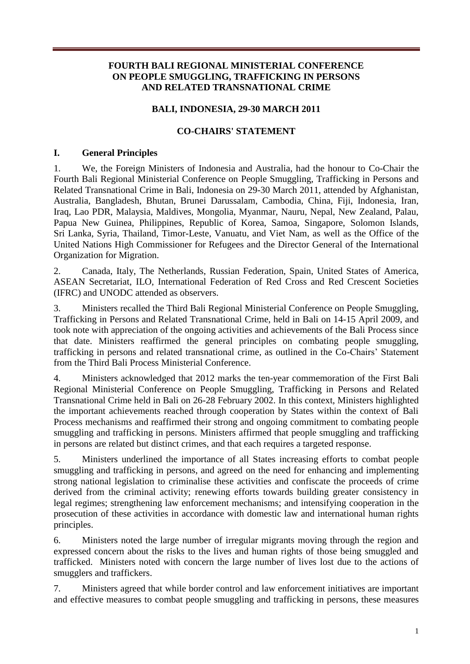### **FOURTH BALI REGIONAL MINISTERIAL CONFERENCE ON PEOPLE SMUGGLING, TRAFFICKING IN PERSONS AND RELATED TRANSNATIONAL CRIME**

### **BALI, INDONESIA, 29-30 MARCH 2011**

### **CO-CHAIRS' STATEMENT**

#### **I. General Principles**

1. We, the Foreign Ministers of Indonesia and Australia, had the honour to Co-Chair the Fourth Bali Regional Ministerial Conference on People Smuggling, Trafficking in Persons and Related Transnational Crime in Bali, Indonesia on 29-30 March 2011, attended by Afghanistan, Australia, Bangladesh, Bhutan, Brunei Darussalam, Cambodia, China, Fiji, Indonesia, Iran, Iraq, Lao PDR, Malaysia, Maldives, Mongolia, Myanmar, Nauru, Nepal, New Zealand, Palau, Papua New Guinea, Philippines, Republic of Korea, Samoa, Singapore, Solomon Islands, Sri Lanka, Syria, Thailand, Timor-Leste, Vanuatu, and Viet Nam, as well as the Office of the United Nations High Commissioner for Refugees and the Director General of the International Organization for Migration.

2. Canada, Italy, The Netherlands, Russian Federation, Spain, United States of America, ASEAN Secretariat, ILO, International Federation of Red Cross and Red Crescent Societies (IFRC) and UNODC attended as observers.

3. Ministers recalled the Third Bali Regional Ministerial Conference on People Smuggling, Trafficking in Persons and Related Transnational Crime, held in Bali on 14-15 April 2009, and took note with appreciation of the ongoing activities and achievements of the Bali Process since that date. Ministers reaffirmed the general principles on combating people smuggling, trafficking in persons and related transnational crime, as outlined in the Co-Chairs' Statement from the Third Bali Process Ministerial Conference.

4. Ministers acknowledged that 2012 marks the ten-year commemoration of the First Bali Regional Ministerial Conference on People Smuggling, Trafficking in Persons and Related Transnational Crime held in Bali on 26-28 February 2002. In this context, Ministers highlighted the important achievements reached through cooperation by States within the context of Bali Process mechanisms and reaffirmed their strong and ongoing commitment to combating people smuggling and trafficking in persons. Ministers affirmed that people smuggling and trafficking in persons are related but distinct crimes, and that each requires a targeted response.

5. Ministers underlined the importance of all States increasing efforts to combat people smuggling and trafficking in persons, and agreed on the need for enhancing and implementing strong national legislation to criminalise these activities and confiscate the proceeds of crime derived from the criminal activity; renewing efforts towards building greater consistency in legal regimes; strengthening law enforcement mechanisms; and intensifying cooperation in the prosecution of these activities in accordance with domestic law and international human rights principles.

6. Ministers noted the large number of irregular migrants moving through the region and expressed concern about the risks to the lives and human rights of those being smuggled and trafficked. Ministers noted with concern the large number of lives lost due to the actions of smugglers and traffickers.

7. Ministers agreed that while border control and law enforcement initiatives are important and effective measures to combat people smuggling and trafficking in persons, these measures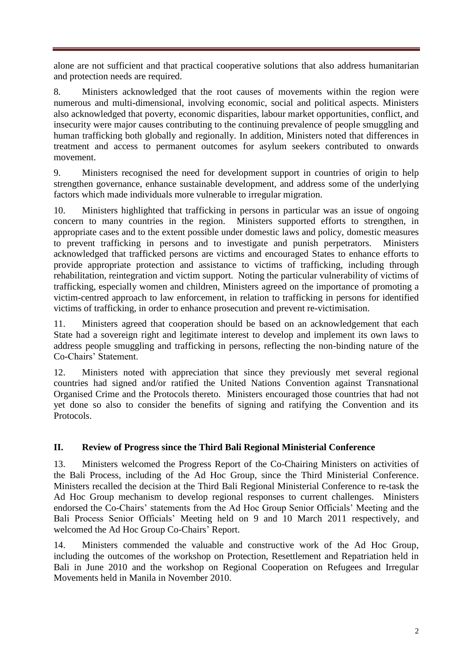alone are not sufficient and that practical cooperative solutions that also address humanitarian and protection needs are required.

8. Ministers acknowledged that the root causes of movements within the region were numerous and multi-dimensional, involving economic, social and political aspects. Ministers also acknowledged that poverty, economic disparities, labour market opportunities, conflict, and insecurity were major causes contributing to the continuing prevalence of people smuggling and human trafficking both globally and regionally. In addition, Ministers noted that differences in treatment and access to permanent outcomes for asylum seekers contributed to onwards movement.

9. Ministers recognised the need for development support in countries of origin to help strengthen governance, enhance sustainable development, and address some of the underlying factors which made individuals more vulnerable to irregular migration.

10. Ministers highlighted that trafficking in persons in particular was an issue of ongoing concern to many countries in the region. Ministers supported efforts to strengthen, in appropriate cases and to the extent possible under domestic laws and policy, domestic measures to prevent trafficking in persons and to investigate and punish perpetrators. Ministers acknowledged that trafficked persons are victims and encouraged States to enhance efforts to provide appropriate protection and assistance to victims of trafficking, including through rehabilitation, reintegration and victim support. Noting the particular vulnerability of victims of trafficking, especially women and children, Ministers agreed on the importance of promoting a victim-centred approach to law enforcement, in relation to trafficking in persons for identified victims of trafficking, in order to enhance prosecution and prevent re-victimisation.

11. Ministers agreed that cooperation should be based on an acknowledgement that each State had a sovereign right and legitimate interest to develop and implement its own laws to address people smuggling and trafficking in persons, reflecting the non-binding nature of the Co-Chairs' Statement.

12. Ministers noted with appreciation that since they previously met several regional countries had signed and/or ratified the United Nations Convention against Transnational Organised Crime and the Protocols thereto. Ministers encouraged those countries that had not yet done so also to consider the benefits of signing and ratifying the Convention and its Protocols.

# **II. Review of Progress since the Third Bali Regional Ministerial Conference**

13. Ministers welcomed the Progress Report of the Co-Chairing Ministers on activities of the Bali Process, including of the Ad Hoc Group, since the Third Ministerial Conference. Ministers recalled the decision at the Third Bali Regional Ministerial Conference to re-task the Ad Hoc Group mechanism to develop regional responses to current challenges. Ministers endorsed the Co-Chairs' statements from the Ad Hoc Group Senior Officials' Meeting and the Bali Process Senior Officials' Meeting held on 9 and 10 March 2011 respectively, and welcomed the Ad Hoc Group Co-Chairs' Report.

14. Ministers commended the valuable and constructive work of the Ad Hoc Group, including the outcomes of the workshop on Protection, Resettlement and Repatriation held in Bali in June 2010 and the workshop on Regional Cooperation on Refugees and Irregular Movements held in Manila in November 2010.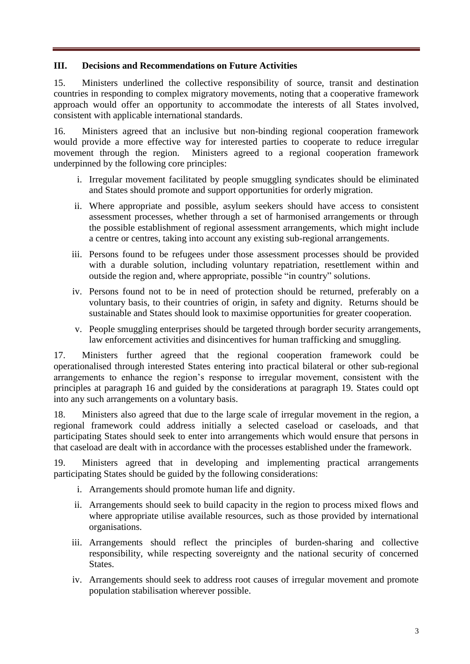### **III. Decisions and Recommendations on Future Activities**

15. Ministers underlined the collective responsibility of source, transit and destination countries in responding to complex migratory movements, noting that a cooperative framework approach would offer an opportunity to accommodate the interests of all States involved, consistent with applicable international standards.

16. Ministers agreed that an inclusive but non-binding regional cooperation framework would provide a more effective way for interested parties to cooperate to reduce irregular movement through the region. Ministers agreed to a regional cooperation framework underpinned by the following core principles:

- i. Irregular movement facilitated by people smuggling syndicates should be eliminated and States should promote and support opportunities for orderly migration.
- ii. Where appropriate and possible, asylum seekers should have access to consistent assessment processes, whether through a set of harmonised arrangements or through the possible establishment of regional assessment arrangements, which might include a centre or centres, taking into account any existing sub-regional arrangements.
- iii. Persons found to be refugees under those assessment processes should be provided with a durable solution, including voluntary repatriation, resettlement within and outside the region and, where appropriate, possible "in country" solutions.
- iv. Persons found not to be in need of protection should be returned, preferably on a voluntary basis, to their countries of origin, in safety and dignity. Returns should be sustainable and States should look to maximise opportunities for greater cooperation.
- v. People smuggling enterprises should be targeted through border security arrangements, law enforcement activities and disincentives for human trafficking and smuggling.

17. Ministers further agreed that the regional cooperation framework could be operationalised through interested States entering into practical bilateral or other sub-regional arrangements to enhance the region's response to irregular movement, consistent with the principles at paragraph 16 and guided by the considerations at paragraph 19. States could opt into any such arrangements on a voluntary basis.

18. Ministers also agreed that due to the large scale of irregular movement in the region, a regional framework could address initially a selected caseload or caseloads, and that participating States should seek to enter into arrangements which would ensure that persons in that caseload are dealt with in accordance with the processes established under the framework.

19. Ministers agreed that in developing and implementing practical arrangements participating States should be guided by the following considerations:

- i. Arrangements should promote human life and dignity.
- ii. Arrangements should seek to build capacity in the region to process mixed flows and where appropriate utilise available resources, such as those provided by international organisations.
- iii. Arrangements should reflect the principles of burden-sharing and collective responsibility, while respecting sovereignty and the national security of concerned States.
- iv. Arrangements should seek to address root causes of irregular movement and promote population stabilisation wherever possible.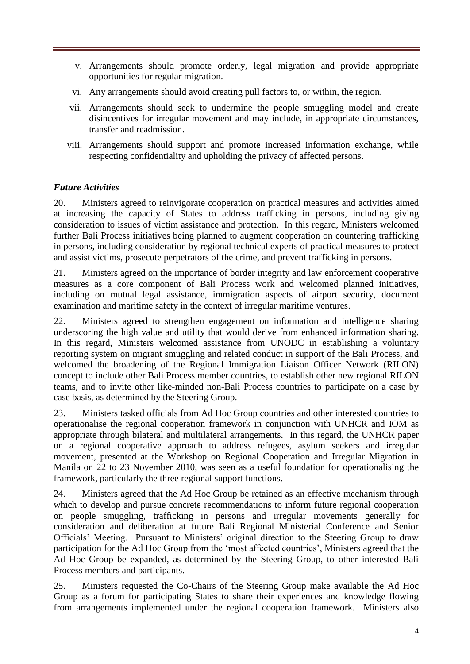- v. Arrangements should promote orderly, legal migration and provide appropriate opportunities for regular migration.
- vi. Any arrangements should avoid creating pull factors to, or within, the region.
- vii. Arrangements should seek to undermine the people smuggling model and create disincentives for irregular movement and may include, in appropriate circumstances, transfer and readmission.
- viii. Arrangements should support and promote increased information exchange, while respecting confidentiality and upholding the privacy of affected persons.

## *Future Activities*

20. Ministers agreed to reinvigorate cooperation on practical measures and activities aimed at increasing the capacity of States to address trafficking in persons, including giving consideration to issues of victim assistance and protection. In this regard, Ministers welcomed further Bali Process initiatives being planned to augment cooperation on countering trafficking in persons, including consideration by regional technical experts of practical measures to protect and assist victims, prosecute perpetrators of the crime, and prevent trafficking in persons.

21. Ministers agreed on the importance of border integrity and law enforcement cooperative measures as a core component of Bali Process work and welcomed planned initiatives, including on mutual legal assistance, immigration aspects of airport security, document examination and maritime safety in the context of irregular maritime ventures.

22. Ministers agreed to strengthen engagement on information and intelligence sharing underscoring the high value and utility that would derive from enhanced information sharing. In this regard, Ministers welcomed assistance from UNODC in establishing a voluntary reporting system on migrant smuggling and related conduct in support of the Bali Process, and welcomed the broadening of the Regional Immigration Liaison Officer Network (RILON) concept to include other Bali Process member countries, to establish other new regional RILON teams, and to invite other like-minded non-Bali Process countries to participate on a case by case basis, as determined by the Steering Group.

23. Ministers tasked officials from Ad Hoc Group countries and other interested countries to operationalise the regional cooperation framework in conjunction with UNHCR and IOM as appropriate through bilateral and multilateral arrangements. In this regard, the UNHCR paper on a regional cooperative approach to address refugees, asylum seekers and irregular movement, presented at the Workshop on Regional Cooperation and Irregular Migration in Manila on 22 to 23 November 2010, was seen as a useful foundation for operationalising the framework, particularly the three regional support functions.

24. Ministers agreed that the Ad Hoc Group be retained as an effective mechanism through which to develop and pursue concrete recommendations to inform future regional cooperation on people smuggling, trafficking in persons and irregular movements generally for consideration and deliberation at future Bali Regional Ministerial Conference and Senior Officials' Meeting. Pursuant to Ministers' original direction to the Steering Group to draw participation for the Ad Hoc Group from the 'most affected countries', Ministers agreed that the Ad Hoc Group be expanded, as determined by the Steering Group, to other interested Bali Process members and participants.

25. Ministers requested the Co-Chairs of the Steering Group make available the Ad Hoc Group as a forum for participating States to share their experiences and knowledge flowing from arrangements implemented under the regional cooperation framework. Ministers also